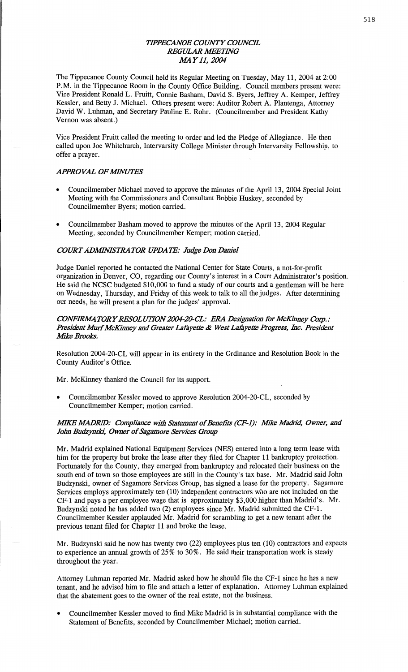# *WPECANOE COUNTY COUNCIL REGULAR WETHVG M4Y11, 2004*

The Tippecanoe **County** Council held its Regular Meeting on Tuesday, May 11, 2004 at **2:00 P.M.** in the **Tippecanoe Room** in the County Office **Building. Council** members **present** were: Vice President Ronald L. Fruitt, Connie **Basham,** David S. Byers, Jeffrey A. Kemper, Jeffrey Kessler, and Betty J. **Michael.** Others present were: Auditor Robert A. Plantenga, **Attorney David** W. **Luhman,** and Secretary **Pauline** E. Rohr. (Councilmember and President Kathy Vernon was absent.)

Vice President Fruitt called the meeting to order and led the Pledge of Allegiance. He then called **upon** Joe Whitchurch, Intervarsity College Minister **through** Intervarsity Fellowship, to  $\int$  offer a prayer.

# **APPROVAL OF MINUTES**

- Councilmember Michael moved to approve the minutes of the April 13, 2004 Special Joint **Meeting** with the **Commissioners** and Consultant Bobbie Huskey, seconded by Councilmember Byers; **motion** carried.
- **0 Councilmember** Basham moved to approve the **minutes** of the April 13, 2004 Regular Meeting, **seconded** by **Councilmember** Kemper; **motion** carried.

## *COURTADJIMWSIRA* TOR *UPDA* 7F: *Judge D011 Danie]*

Judge Daniel reported he contacted the **National** Center for **State** Courts, a not-for-profit **organization** in Denver, CO, regarding our County's interest in a Court Administrator's **position.**  He said the **NCSC** budgeted \$10,000 to fund a study of our **courts** and **a** gentleman will be here on **Wednesday,** Thursday, and Friday of **this** week to talk to all the judges. After **determining**  our needs, he **will present** a **plan** for the judges' **approval.** 

# *CONFIRMATORY RESOLUTION 2004-20-CL: ERA Designation for McKinney Corp.:* **President Murf McKinney and Greater Lafayette & West Lafayette Progress, Inc. President Mike Brooks.**

Resolution **2004-20-CL** will **appear** in its entirety in the Ordinance and **Resolution Book** in the County Auditor's Office.

Mr. **McKinney thanked** the Council for its support.

**<sup>0</sup>**Councilmember Kessler **moved** to approve **Resolution** 2004—20-CL, seconded by Councilmember Kemper; **motion** carried.

# *MIKE MADRID: Compliance with Statement of Benefits (CF-1): Mike Madrid, Owner, and John Budzynski, Owner* of *Sagamore Services Grow*

Mr. Madrid explained **National** Equipment Services (NES) **entered into** a long **term** lease with him for the property but broke the lease after they filed for Chapter 11 bankruptcy protection. Fortunately for the County, they emerged from bankruptcy and relocated their business on the south end of town so those employees are still in the County's tax **base.** Mr. Madrid said John Budzynski, owner of Sagamore Services Group, has signed **a** lease for the property. Sagamore Services employs approximately ten (10) independent contractors who are not included on the CF-1 and pays a per employee wage that is approximately \$3,000 higher than Madrid's. Mr. Budzynski noted he has added two (2) employees since Mr. Madrid submitted the CF-1. Councilmember Kessler applauded Mr. Madrid for scrambling to get **a** new **tenant** after the **previous** tenant filed for Chapter 11 and broke the lease.

Mr. Budzynski said he now has twenty two (22) employees plus ten **(10) contractors** and expects to experience an **annual** growth of 25% to 30%. He said their transportation work is steady throughout the year.

Attorney **Luhman** reported Mr. Madrid asked how he should file the CF-l **since** he has **a** new tenant, and he advised him to file and attach **a** letter of **explanation.** Attorney **Luhman explained**  that the **abatement** goes to the owner of the real estate, not the business.

**0 Councilmember** Kessler moved to find Mike Madrid is in substantial compliance **with** the Statement of Benefits, seconded by Councilmember Michael; motion carried.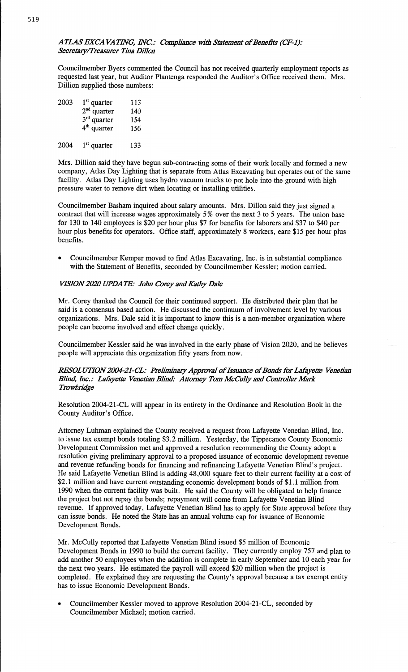# *ATLAS* EX CA VA *TflVG,* WC. .' *Compliance with Slam-went* of Benefit: *(CF-1):*  Secretary/Treasurer Tina Dillon

Councilmember Byers commented the Council has not received quarterly employment reports as requested last year, but Auditor **Plantenga** responded the Auditor's Office received them. Mrs. Dillion supplied **those** numbers:

| 2003 | $1st$ quarter<br>$2nd$ quarter<br>$3rd$ quarter<br>$4th$ quarter | 113<br>140<br>154<br>156 |
|------|------------------------------------------------------------------|--------------------------|
|      |                                                                  |                          |

2004  $1<sup>st</sup>$  quarter 133

Mrs. Dillion said they have begun sub-contracting some of their work locally and formed a new company, Atlas Day Lighting that is separate from **Atlas** Excavating but operates out of the same facility. Atlas Day Lighting uses hydro vacuum trucks to pot hole into the ground with high pressure water to remove dirt when locating or installing utilities.

Councilmember Basham inquired about salary amounts. Mrs. Dillon said they just signed **a**  contract that will increase wages approximately 5% over the next 3 to 5 years. The union base for 130 to 140 employees is \$20 per hour **plus** \$7 for benefits for laborers and \$37 to \$40 per hour plus benefits for operators. Office staff, approximately 8 workers, earn \$15 per hour plus benefits.

**0** Councihnember Kemper moved to find Atlas Excavating, Inc. is in substantial compliance with the Statement of Benefits, seconded by Councilmember Kessler; motion carried.

# *VISION 2020 UPDATE: John Corey and Kathy Dale*

Mr. Corey thanked the Council for their continued support. He distributed their plan that he said is **a** consensus **based action.** He discussed the continuum of involvement level by various organizations. Mrs. Dale said it is important to know this is **a** non-member organization where people can become involved and effect change quickly.

Councilmember Kessler said he was involved in the early phase of Vision 2020, **and,** he **believes**  people will appreciate this organization fifty years from **now.** 

# *RESOL UT10N2004-21-(1: Prelimiuazy Approval* of *Issuance* ofBonds' for Lafiyettc Venetian *Blind, Inc.: Lafayette Venetian Blind: Attorney Tom McCully and Controller Mark Trowbzidge*

Resolution 2004-21-CL will appear in its entirety in the Ordinance and Resolution Book in the County **Auditor's Office.** 

Attorney Luhman explained the County received a request from Lafayette Venetian **Blind, Inc.**  to issue tax exempt bonds totaling **\$3.2 million.** Yesterday, the Tippecanoe County Economic Development Commission met and approved a resolution recommending the County adopt a resolution giving preliminary approval to **a** proposed issuance of economic development revenue and revenue refunding bonds for financing and refinancing Lafayette **Venetian Blind's** project. He said Lafayette Venetian Blind is adding 48,000 square feet to their current facility at a cost of **\$2.1** million and **have** current outstanding economic development bonds of **\$1.1** million from 1990 **when** the current facility was built. He said the County will be obligated to help finance the project but not repay the **bonds;** repayment will come from Lafayette Venetian Blind revenue. If approved today, Lafayette **Venetian Blind** has to apply for State approval before they can issue **bonds.** He noted the State has an **annual** volume cap for issuance of Economic Development **Bonds.** 

Mr. McCully reported **that** Lafayette **Venetian** Blind **issued** \$5 million of Economic Development **Bonds** in 1990 to build the current facility. They currently employ 757 and plan to add **another** 50 employees when the addition is complete in early September and 10 each year for the next two years. He estimated the payroll will exceed \$20 million when the project is completed. He **explained** they are requesting the County's approval because **a** tax exempt entity has to issue Economic Development Bonds.

Councilmember Kessler moved to approve Resolution 2004-21-CL, seconded by **Councilmember** Michael; **motion** carried.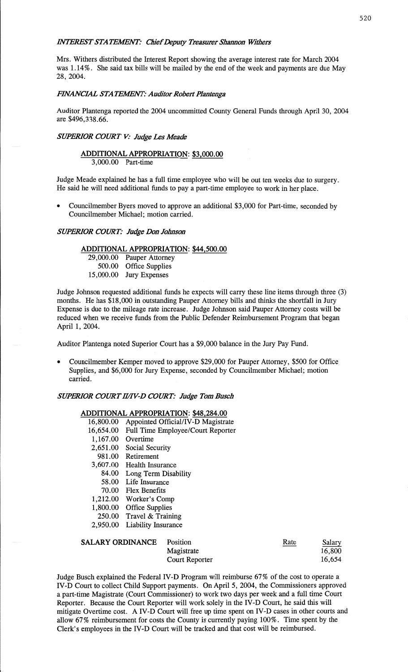## *MTEREST STATEMENT: Chief Deputy Treasurer Shannon Withers*

Mrs. Withers distributed the Interest Report showing the average interest rate for March 2004 was 1.14%. She said tax bills will be mailed by the end of the week and **payments** are due May 28, 2004.

## *ENANCZAL* STA *TEMNT: Auditor Robert Plantenga*

Auditor Plantenga reported the 2004 uncommitted County General Funds through April 30, 2004 are \$496,338.66.

# *SUPERIOR COIRT* V: *Judge* Les *Meade*

#### **ADDITIONAL APPROPRIATION:** \$3,000.00 3,000.00 Part-time

Judge Meade explained he has a **full** time employee who will be out ten weeks due to surgery. He **said** he will need **additional** funds to pay **a** part-time employee to work in her place.

**<sup>0</sup>**Councilmember Byers **moved** to approve an **additional** \$3,000 for Part-time, seconded by Councilmember Michael; **motion** carried.

#### *SUPERIOR COIRT: Judge* Don *Johnson*

# **ADDITIONAL APPROPRIATION:** \$44,500.00

29,000.00 Pauper Attorney 500.00 Office Supplies 15,000.00 Jury Expenses

Judge Johnson **requested** additional funds he expects will carry these line **items** through three (3) **months.** He has \$18,000 in outstanding Pauper Attorney bills and **thinks** the shortfall in Jury **Expense** is due to the mileage rate increase. Judge Johnson **said** Pauper Attorney costs will be reduced **when** we receive funds from the Public Defender Reimbursement Program **that** began **April** 1, 2004.

Auditor Plantenga **noted** Superior **Court** has a \$9,000 balance in the Jury Pay Fund.

**0** Councilmember Kemper moved to approve \$29,000 for Pauper Attorney, \$500 for Office Supplies, and \$6,000 for Jury Expense, seconded by Councilmember Michael; motion carried.

# *SUPERIOR COWTH/IV—D COURT: Judge* Tom *Busch*

# **ADDITIONAL APPROPRIATION: \$48,284.00**

| 16,800.00 | Appointed Official/IV-D Magistrate |
|-----------|------------------------------------|
| 16,654.00 | Full Time Employee/Court Reporter  |
| 1,167.00  | Overtime                           |
| 2,651.00  | Social Security                    |
| 981.00    | Retirement                         |
| 3,607.00  | Health Insurance                   |
| 84.00     | Long Term Disability               |
| 58.00     | Life Insurance                     |
| 70.00     | <b>Flex Benefits</b>               |
| 1,212.00  | Worker's Comp                      |
| 1,800.00  | <b>Office Supplies</b>             |
| 250.00    | Travel & Training                  |
| 2,950.00  | Liability Insurance                |

| <b>SALARY ORDINANCE</b> | <b>Position</b> | Rate | Salary |
|-------------------------|-----------------|------|--------|
|                         | Magistrate      |      | 16,800 |
|                         | Court Reporter  |      | 16,654 |

Judge Busch explained the Federal **IV-D** Program will reimburse 67% of the cost to operate a IV-D Court to collect Child Support payments. On April 5, 2004, the Commissioners approved a part-time Magistrate (Court Commissioner) to work two days per week and a full time Court Reporter. Because the Court Reporter will work solely in the **IV-D** Court, he said this will mitigate Overtime cost. **A IV-D** Court will free up time spent on IV-D cases in **other** courts and allow 67% reimbursement for costs the County is currently paying **100%.** Time spent by the **Clerk's** employees in the **IV-D** Court will be tracked and **that** cost will be reimbursed.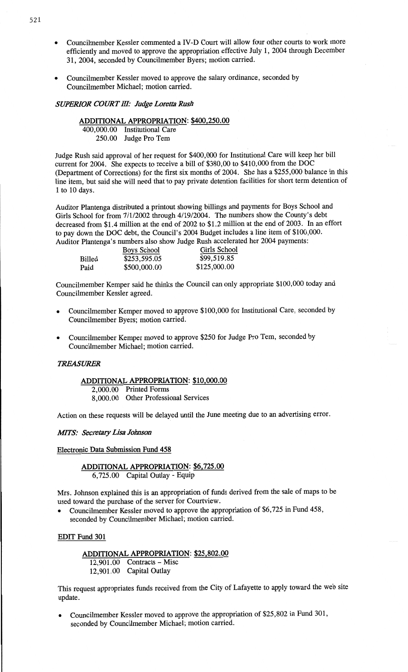- **0** Councilmember Kessler commented 3 **ND Court** will allow four **other** courts **to** work more **efficiently and moved to approve the** appropriation **effective** July **1,** 2004 **through December 31,** 2004, seconded **by Councilmember** Byers; motion carried.
- **<sup>0</sup>**Councilmember Kessler moved **to** approve **the salary** ordinance, seconded **by Councihnember Michael;** motion carried.

## *SWERIOR COURT* **M:** *Judge* **Lot** *Rush*

# **ADDITIONAL APPROPRIATION: \$400,250.00**  400,000.00 Institutional Care **250.00** Judge **Pro Tem**

Judge **Rush** said approval **of her** request **for** \$400,000 **for** Institutional Care **will** keep **her** bill **current for** 2004. **She expects to** receive **a** bill **of** \$380,00 **to** \$410,000 from **the DOC**  (Department **of** Corrections) **for the** first **six** months **of** 2004. **She has a** \$255,000 balance **in** this line **item, but** said **she** will need that **to pay** private detention facilities **for short** term detention **of 1 to 10** days.

Auditor Plantenga distributed **a printout** showing billings **and payments for Boys** School **and**  Girls School **for** from **7/1/2002** through **4/** 19/2004. **The** numbers show **the** County's debt decreased from \$1.4 million **at the end of** 2002 **to** \$1.2 million **at the end of** 2003. **In an effort to pay** down **the DOC** debt, **the** Council's 2004 Budget includes a **line item of** \$100,000. **Auditor Plantenga's** numbers also show Judge Rush accelerated **her** 2004 **payments:** 

|        | Boys School  | Girls School |
|--------|--------------|--------------|
| Billed | \$253,595.05 | \$99,519.85  |
| Paid   | \$500,000.00 | \$125,000.00 |

**Councihnember** Kemper **said he thinks the** Council **can** only appropriate \$100,000 today **and Councilmember** Kessler agreed.

- **<sup>0</sup>Councilmember Kemper** moved **to approve** \$100,000 **for** Institutional **Care,** seconded **by Councilmember** Byers; **motion carried.**
- **0** Councilmember **Kemper** moved **to** approve \$250 **for** Judge **Pro** Tem, **seconded by**  Councilmember Michael; **motion** carried.

#### *TREASURER*

#### **ADDITIONAL APPROPRIATION: \$10,000.00**

**2,000.00** Printed **Forms**  8,000.00 **Other Professional** Services

**Action on** these requests will **be** delayed until **the** June meeting **due to an** advertising error.

#### *MITS: Secretary Lisa Johnson*

**Electronic Data Submission Fund 458** 

## **ADDITIONAL APPROPRIATION: \$6,725.00**  6,725.00 Capital Outlay *-* Equip

Mrs. Johnson **explained this is an** appropriation **of** funds derived from **the sale of** maps **to be**  used toward **the** purchase **of the** server **for Courtview.** 

**<sup>0</sup>**Councilmember Kessler moved **to** approve **the appropriation of** \$6,725 **in Fund** 458, seconded **by** Councilmember **Michael;** motion carried.

## **EDIT Fund 301**

## **ADDITIONAL APPROPRIATION:** \$25,802.00 12,901.00 Contracts *-* Misc

12,901.00 **Capital** Outlay

**This** request **appropriates** funds received **from the** City **of** Lafayette **to** apply toward **the web** site **update.** 

**<sup>0</sup>Councilmember Kessler** moved **to approve the appropriation of** \$25,802 **in** Fund 301, seconded **by Councilmember Michael;** motion carried.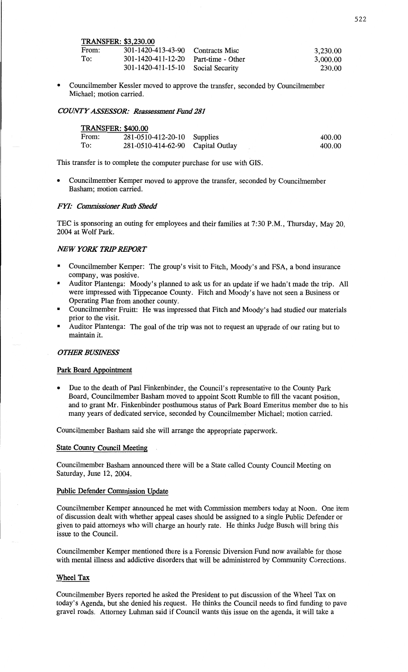**TRANSFER:** \$3,230.00

| From: | 301-1420-413-43-90 Contracts Misc      | 3,230.00 |
|-------|----------------------------------------|----------|
| To:   | $301-1420-411-12-20$ Part-time - Other | 3,000.00 |
|       | 301-1420-411-15-10 Social Security     | 230.00   |

**- Councilmember** Kessler moved **to** approve **the** transfer, seconded **by** Councilmember Michael; motion carried.

## **COWTYASS'ES'LS'OR: Reassessment Emd 281**

| <b>TRANSFER: \$400.00</b> |                                   |  |        |
|---------------------------|-----------------------------------|--|--------|
| From:                     | 281-0510-412-20-10 Supplies       |  | 400.00 |
| To:                       | 281-0510-414-62-90 Capital Outlay |  | 400.00 |

**This** transfer **is to complete the computer purchase for use** with **G18.** 

**<sup>0</sup>**Councilmember Kemper moved **to** approve **the transfer,** seconded **by Councilmember Basham; motion** carried.

## *FYI:* **Commissioner** *Ruth Sbedd*

**TEC is sponsoring an** outing **for employees and** their **families at** 7:30 P.M., Thursday, **May 20,**  <sup>2004</sup>**at** Wolf Park.

## *NEW YORK TRIP REPORT*

- . Councilmember Kemper: **The** group's visit **to** Fitch, Moody's **and FSA,** a bond insurance company, **was** positive.
- . Auditor Plantenga: Moody's **planned to ask us for an update if we hadn't made the** trip. **All**  were impressed with **Tippecanoe** County. Fitch **and** Moody's have **not** seen a Business **or**  Operating **Plan** from another **county.**
- . Councilmember Pruitt: **He was impressed that** Fitch **and Moody's had studied our** materials prior **to the** visit.
- . Auditor Plantenga: **The** goal **of the trip was not to request an** upgrade **of our rating but to maintain it.**

#### *OTHER BUSINESS*

#### **Park Board Appointment**

*<sup>0</sup>***Due to the** death **of Paul** Finkenbinder, **the** Council's representative **to the** County **Park**  Board, Councilmember **Basham moved to appoint Scott** Rumble **to fill the** vacant position, **and to grant Mr.** Finkenbinder **posthumous** status **of** Park Board **Emeritus** member **due to his**  many **years of** dedicated service, seconded **by Councilmember Michael;** motion carried.'

Councilmember Basham said **she will** arrange **the** appropriate paperwork.

## **State County Council Meeting**

Councilmember **Basham announced** there will **be a** State called County Council **Meeting on**  Saturday, June **12,** 2004.

#### **Public Defender Commission Update**

Councilmember Kemper announced **he met** with **Commission** members **today at Noon. One** item **of** discussion dealt with whether appeal cases **should be** assigned **to a** single Public Defender **or**  given **to** paid attorneys **who** will charge **an** hourly rate. **He thinks** Judge Busch will bring this issue **to the** Council.

Councilmember Kemper mentioned **there is** a Forensic Diversion Fund **now** available **for** those with mental **illness and** addictive disorders **that** will **be** administered **by Community** Corrections.

## **Wheel Tax**

**Councilmember** Byers reported **he** asked **the** President **to put** discussion **of the** Wheel **Tax on**  today's **Agenda, but she denied his** request. **He thinks the** Council **needs to find funding to** pave gravel roads. Attorney **Luhman** said **if** Council **wants this** issue **on the** agenda, **it** will take **<sup>a</sup>**